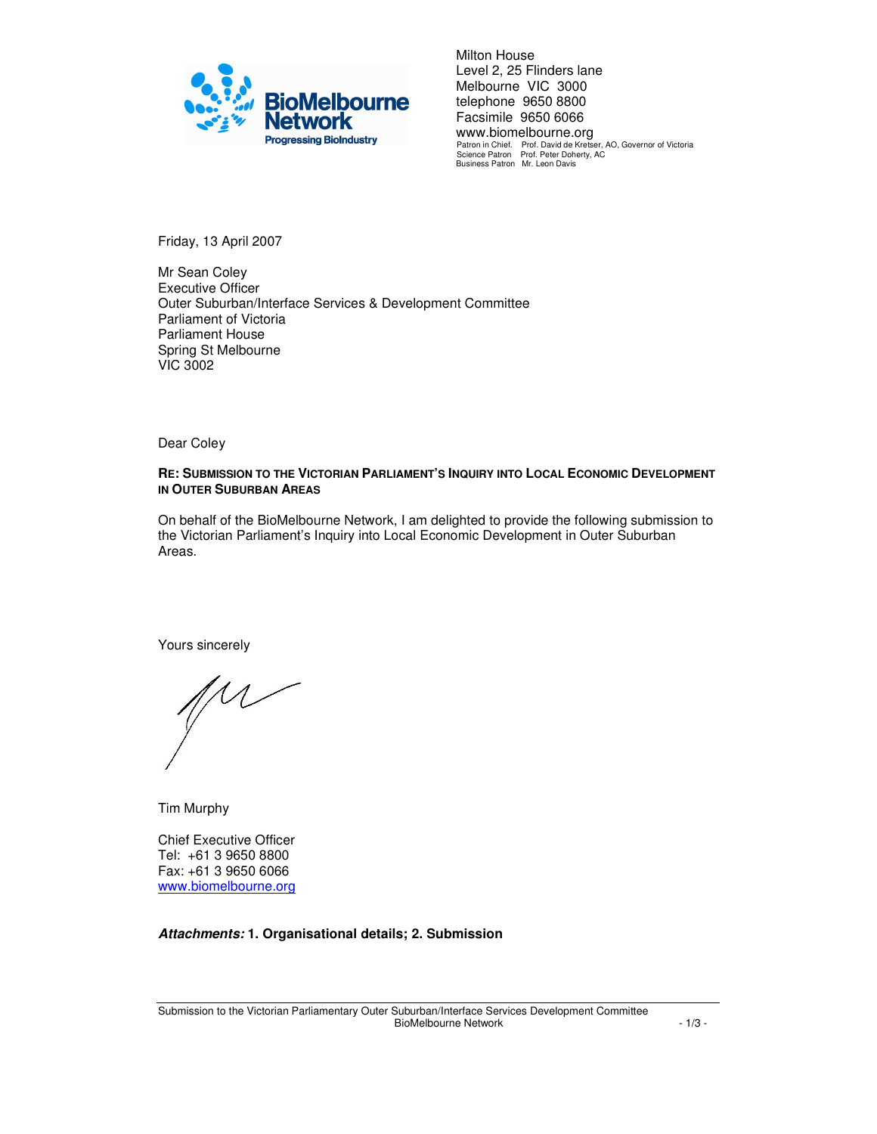

Milton House Level 2, 25 Flinders lane Melbourne VIC 3000 telephone 9650 8800 Facsimile 9650 6066 www.biomelbourne.org Patron in Chief. Prof. David de Kretser, AO, Governor of Victoria Science Patron Prof. Peter Doherty, AC Business Patron Mr. Leon Davis

Friday, 13 April 2007

Mr Sean Coley Executive Officer Outer Suburban/Interface Services & Development Committee Parliament of Victoria Parliament House Spring St Melbourne VIC 3002

Dear Coley

#### **RE: SUBMISSION TO THE VICTORIAN PARLIAMENT'S INQUIRY INTO LOCAL ECONOMIC DEVELOPMENT IN OUTER SUBURBAN AREAS**

On behalf of the BioMelbourne Network, I am delighted to provide the following submission to the Victorian Parliament's Inquiry into Local Economic Development in Outer Suburban Areas.

Yours sincerely

 $\mathbb M$ 

Tim Murphy

Chief Executive Officer Tel: +61 3 9650 8800 Fax: +61 3 9650 6066 www.biomelbourne.org

**Attachments: 1. Organisational details; 2. Submission**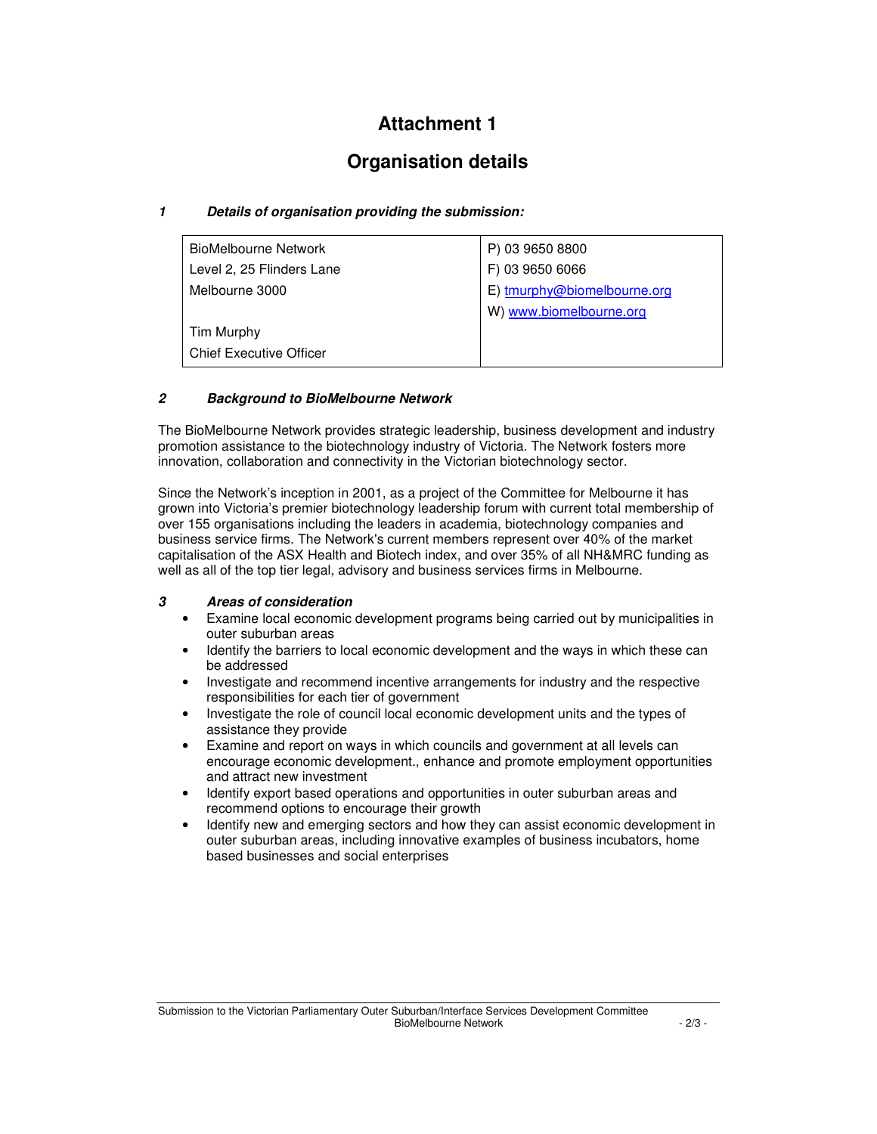# **Attachment 1**

## **Organisation details**

### **1 Details of organisation providing the submission:**

| BioMelbourne Network           | P) 03 9650 8800             |
|--------------------------------|-----------------------------|
| Level 2, 25 Flinders Lane      | F) 03 9650 6066             |
| Melbourne 3000                 | E) tmurphy@biomelbourne.org |
|                                | W) www.biomelbourne.org     |
| Tim Murphy                     |                             |
| <b>Chief Executive Officer</b> |                             |
|                                |                             |

#### **2 Background to BioMelbourne Network**

The BioMelbourne Network provides strategic leadership, business development and industry promotion assistance to the biotechnology industry of Victoria. The Network fosters more innovation, collaboration and connectivity in the Victorian biotechnology sector.

Since the Network's inception in 2001, as a project of the Committee for Melbourne it has grown into Victoria's premier biotechnology leadership forum with current total membership of over 155 organisations including the leaders in academia, biotechnology companies and business service firms. The Network's current members represent over 40% of the market capitalisation of the ASX Health and Biotech index, and over 35% of all NH&MRC funding as well as all of the top tier legal, advisory and business services firms in Melbourne.

#### **3 Areas of consideration**

- Examine local economic development programs being carried out by municipalities in outer suburban areas
- Identify the barriers to local economic development and the ways in which these can be addressed
- Investigate and recommend incentive arrangements for industry and the respective responsibilities for each tier of government
- Investigate the role of council local economic development units and the types of assistance they provide
- Examine and report on ways in which councils and government at all levels can encourage economic development., enhance and promote employment opportunities and attract new investment
- Identify export based operations and opportunities in outer suburban areas and recommend options to encourage their growth
- Identify new and emerging sectors and how they can assist economic development in outer suburban areas, including innovative examples of business incubators, home based businesses and social enterprises